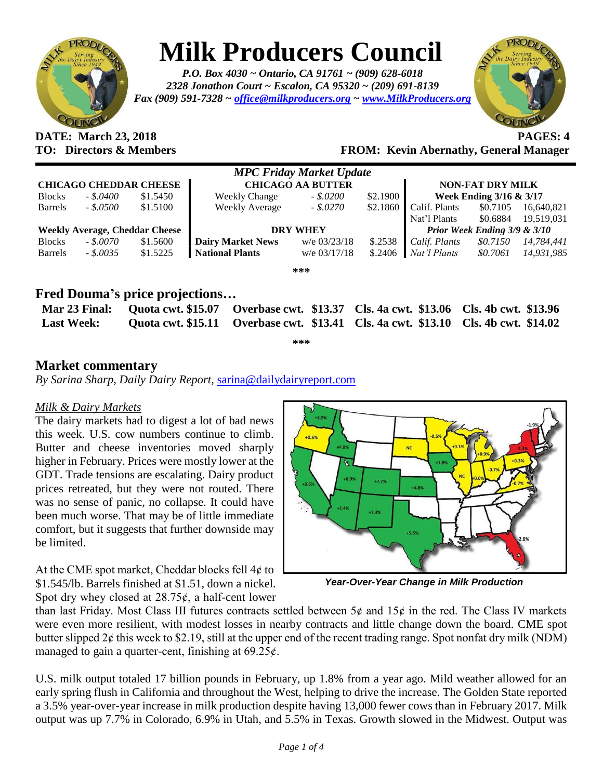

# **Milk Producers Council**

*P.O. Box 4030 ~ Ontario, CA 91761 ~ (909) 628-6018 2328 Jonathon Court ~ Escalon, CA 95320 ~ (209) 691-8139 Fax (909) 591-7328 ~ [office@milkproducers.org](mailto:office@milkproducers.org) ~ [www.MilkProducers.org](http://www.milkproducers.org/)*



# **DATE: March 23, 2018 PAGES: 4**

**TO: Directors & Members FROM: Kevin Abernathy, General Manager**

| <b>MPC Friday Market Update</b>       |            |          |                          |                |          |                              |          |            |  |  |
|---------------------------------------|------------|----------|--------------------------|----------------|----------|------------------------------|----------|------------|--|--|
| <b>CHICAGO CHEDDAR CHEESE</b>         |            |          | <b>CHICAGO AA BUTTER</b> |                |          | <b>NON-FAT DRY MILK</b>      |          |            |  |  |
| <b>Blocks</b>                         | $-.5.0400$ | \$1.5450 | <b>Weekly Change</b>     | $-.5.0200$     | \$2.1900 | Week Ending 3/16 & 3/17      |          |            |  |  |
| <b>Barrels</b>                        | $-.50500$  | \$1.5100 | <b>Weekly Average</b>    | $-.5.0270$     |          | $$2.1860$ Calif. Plants      | \$0.7105 | 16,640,821 |  |  |
|                                       |            |          |                          |                |          | Nat'l Plants                 | \$0.6884 | 19,519,031 |  |  |
| <b>Weekly Average, Cheddar Cheese</b> |            |          | <b>DRY WHEY</b>          |                |          | Prior Week Ending 3/9 & 3/10 |          |            |  |  |
| <b>Blocks</b>                         | $-.50070$  | \$1.5600 | <b>Dairy Market News</b> | $w/e$ 03/23/18 | \$.2538  | Calif. Plants                | \$0.7150 | 14,784,441 |  |  |
| <b>Barrels</b>                        | $-.50035$  | \$1.5225 | <b>National Plants</b>   | $w/e$ 03/17/18 | \$.2406  | Nat'l Plants                 | \$0.7061 | 14,931,985 |  |  |
| ***                                   |            |          |                          |                |          |                              |          |            |  |  |

### **Fred Douma's price projections…**

| <b>Last Week:</b> |  | Mar 23 Final: Ouota cwt. \$15.07 Overbase cwt. \$13.37 Cls. 4a cwt. \$13.06 Cls. 4b cwt. \$13.96<br>Quota cwt. \$15.11 Overbase cwt. \$13.41 Cls. 4a cwt. \$13.10 Cls. 4b cwt. \$14.02 |  |  |  |  |  |  |  |
|-------------------|--|----------------------------------------------------------------------------------------------------------------------------------------------------------------------------------------|--|--|--|--|--|--|--|
| میں میں میں       |  |                                                                                                                                                                                        |  |  |  |  |  |  |  |

### **Market commentary**

*By Sarina Sharp, Daily Dairy Report,* [sarina@dailydairyreport.com](mailto:sarina@dailydairyreport.com)

#### *Milk & Dairy Markets*

The dairy markets had to digest a lot of bad news this week. U.S. cow numbers continue to climb. Butter and cheese inventories moved sharply higher in February. Prices were mostly lower at the GDT. Trade tensions are escalating. Dairy product prices retreated, but they were not routed. There was no sense of panic, no collapse. It could have been much worse. That may be of little immediate comfort, but it suggests that further downside may be limited.

At the CME spot market, Cheddar blocks fell  $4¢$  to \$1.545/lb. Barrels finished at \$1.51, down a nickel. Spot dry whey closed at  $28.75¢$ , a half-cent lower



*Year-Over-Year Change in Milk Production*

than last Friday. Most Class III futures contracts settled between  $5¢$  and  $15¢$  in the red. The Class IV markets were even more resilient, with modest losses in nearby contracts and little change down the board. CME spot butter slipped  $2¢$  this week to \$2.19, still at the upper end of the recent trading range. Spot nonfat dry milk (NDM) managed to gain a quarter-cent, finishing at  $69.25 \ell$ .

U.S. milk output totaled 17 billion pounds in February, up 1.8% from a year ago. Mild weather allowed for an early spring flush in California and throughout the West, helping to drive the increase. The Golden State reported a 3.5% year-over-year increase in milk production despite having 13,000 fewer cows than in February 2017. Milk output was up 7.7% in Colorado, 6.9% in Utah, and 5.5% in Texas. Growth slowed in the Midwest. Output was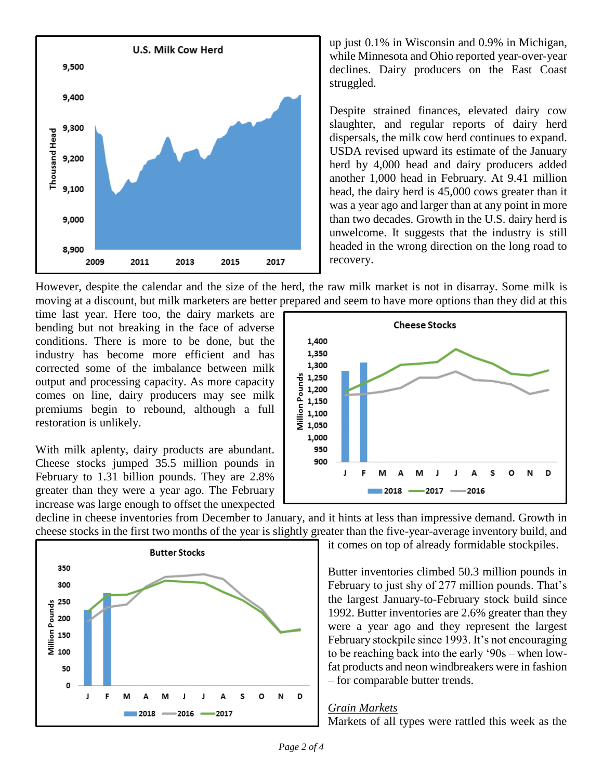

up just 0.1% in Wisconsin and 0.9% in Michigan, while Minnesota and Ohio reported year-over-year declines. Dairy producers on the East Coast struggled.

Despite strained finances, elevated dairy cow slaughter, and regular reports of dairy herd dispersals, the milk cow herd continues to expand. USDA revised upward its estimate of the January herd by 4,000 head and dairy producers added another 1,000 head in February. At 9.41 million head, the dairy herd is 45,000 cows greater than it was a year ago and larger than at any point in more than two decades. Growth in the U.S. dairy herd is unwelcome. It suggests that the industry is still headed in the wrong direction on the long road to recovery.

However, despite the calendar and the size of the herd, the raw milk market is not in disarray. Some milk is moving at a discount, but milk marketers are better prepared and seem to have more options than they did at this

time last year. Here too, the dairy markets are bending but not breaking in the face of adverse conditions. There is more to be done, but the industry has become more efficient and has corrected some of the imbalance between milk output and processing capacity. As more capacity comes on line, dairy producers may see milk premiums begin to rebound, although a full restoration is unlikely.

With milk aplenty, dairy products are abundant. Cheese stocks jumped 35.5 million pounds in February to 1.31 billion pounds. They are 2.8% greater than they were a year ago. The February increase was large enough to offset the unexpected



decline in cheese inventories from December to January, and it hints at less than impressive demand. Growth in cheese stocks in the first two months of the year is slightly greater than the five-year-average inventory build, and



it comes on top of already formidable stockpiles.

Butter inventories climbed 50.3 million pounds in February to just shy of 277 million pounds. That's the largest January-to-February stock build since 1992. Butter inventories are 2.6% greater than they were a year ago and they represent the largest February stockpile since 1993. It's not encouraging to be reaching back into the early '90s – when lowfat products and neon windbreakers were in fashion – for comparable butter trends.

#### *Grain Markets*

Markets of all types were rattled this week as the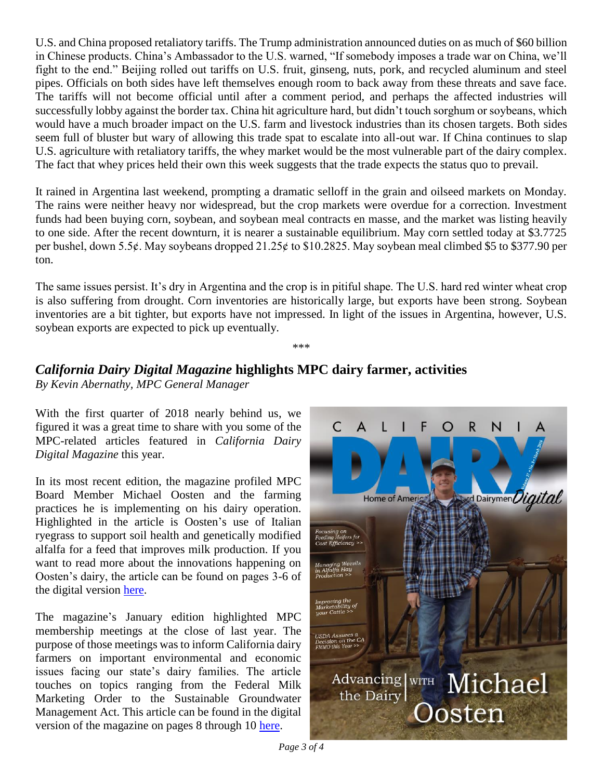U.S. and China proposed retaliatory tariffs. The Trump administration announced duties on as much of \$60 billion in Chinese products. China's Ambassador to the U.S. warned, "If somebody imposes a trade war on China, we'll fight to the end." Beijing rolled out tariffs on U.S. fruit, ginseng, nuts, pork, and recycled aluminum and steel pipes. Officials on both sides have left themselves enough room to back away from these threats and save face. The tariffs will not become official until after a comment period, and perhaps the affected industries will successfully lobby against the border tax. China hit agriculture hard, but didn't touch sorghum or soybeans, which would have a much broader impact on the U.S. farm and livestock industries than its chosen targets. Both sides seem full of bluster but wary of allowing this trade spat to escalate into all-out war. If China continues to slap U.S. agriculture with retaliatory tariffs, the whey market would be the most vulnerable part of the dairy complex. The fact that whey prices held their own this week suggests that the trade expects the status quo to prevail.

It rained in Argentina last weekend, prompting a dramatic selloff in the grain and oilseed markets on Monday. The rains were neither heavy nor widespread, but the crop markets were overdue for a correction. Investment funds had been buying corn, soybean, and soybean meal contracts en masse, and the market was listing heavily to one side. After the recent downturn, it is nearer a sustainable equilibrium. May corn settled today at \$3.7725 per bushel, down 5.5¢. May soybeans dropped 21.25¢ to \$10.2825. May soybean meal climbed \$5 to \$377.90 per ton.

The same issues persist. It's dry in Argentina and the crop is in pitiful shape. The U.S. hard red winter wheat crop is also suffering from drought. Corn inventories are historically large, but exports have been strong. Soybean inventories are a bit tighter, but exports have not impressed. In light of the issues in Argentina, however, U.S. soybean exports are expected to pick up eventually.

\*\*\*

## *California Dairy Digital Magazine* **highlights MPC dairy farmer, activities**

*By Kevin Abernathy, MPC General Manager* 

With the first quarter of 2018 nearly behind us, we figured it was a great time to share with you some of the MPC-related articles featured in *California Dairy Digital Magazine* this year.

In its most recent edition, the magazine profiled MPC Board Member Michael Oosten and the farming practices he is implementing on his dairy operation. Highlighted in the article is Oosten's use of Italian ryegrass to support soil health and genetically modified alfalfa for a feed that improves milk production. If you want to read more about the innovations happening on Oosten's dairy, the article can be found on pages 3-6 of the digital version [here.](https://indd.adobe.com/view/07cfc640-f6bc-4cf1-b151-929f3f9b0cc0)

The magazine's January edition highlighted MPC membership meetings at the close of last year. The purpose of those meetings was to inform California dairy farmers on important environmental and economic issues facing our state's dairy families. The article touches on topics ranging from the Federal Milk Marketing Order to the Sustainable Groundwater Management Act. This article can be found in the digital version of the magazine on pages 8 through 10 [here.](https://indd.adobe.com/view/53083898-9b44-4056-857b-dbc92cef61b8)



*Page 3 of 4*